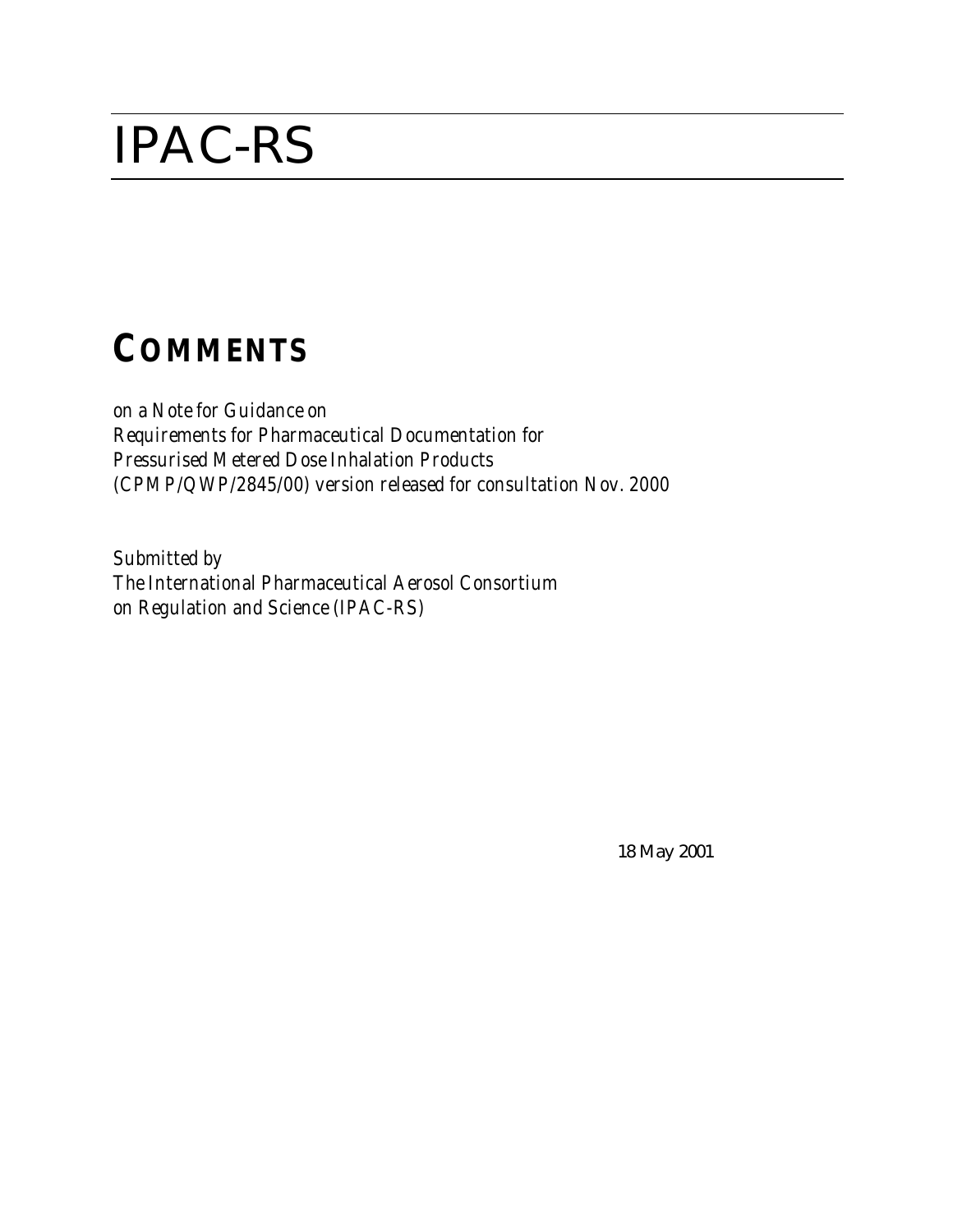# IPAC-RS

# *COMMENTS*

*on a Note for Guidance on Requirements for Pharmaceutical Documentation for Pressurised Metered Dose Inhalation Products (CPMP/QWP/2845/00) version released for consultation Nov. 2000*

*Submitted by The International Pharmaceutical Aerosol Consortium on Regulation and Science (IPAC-RS)*

18 May 2001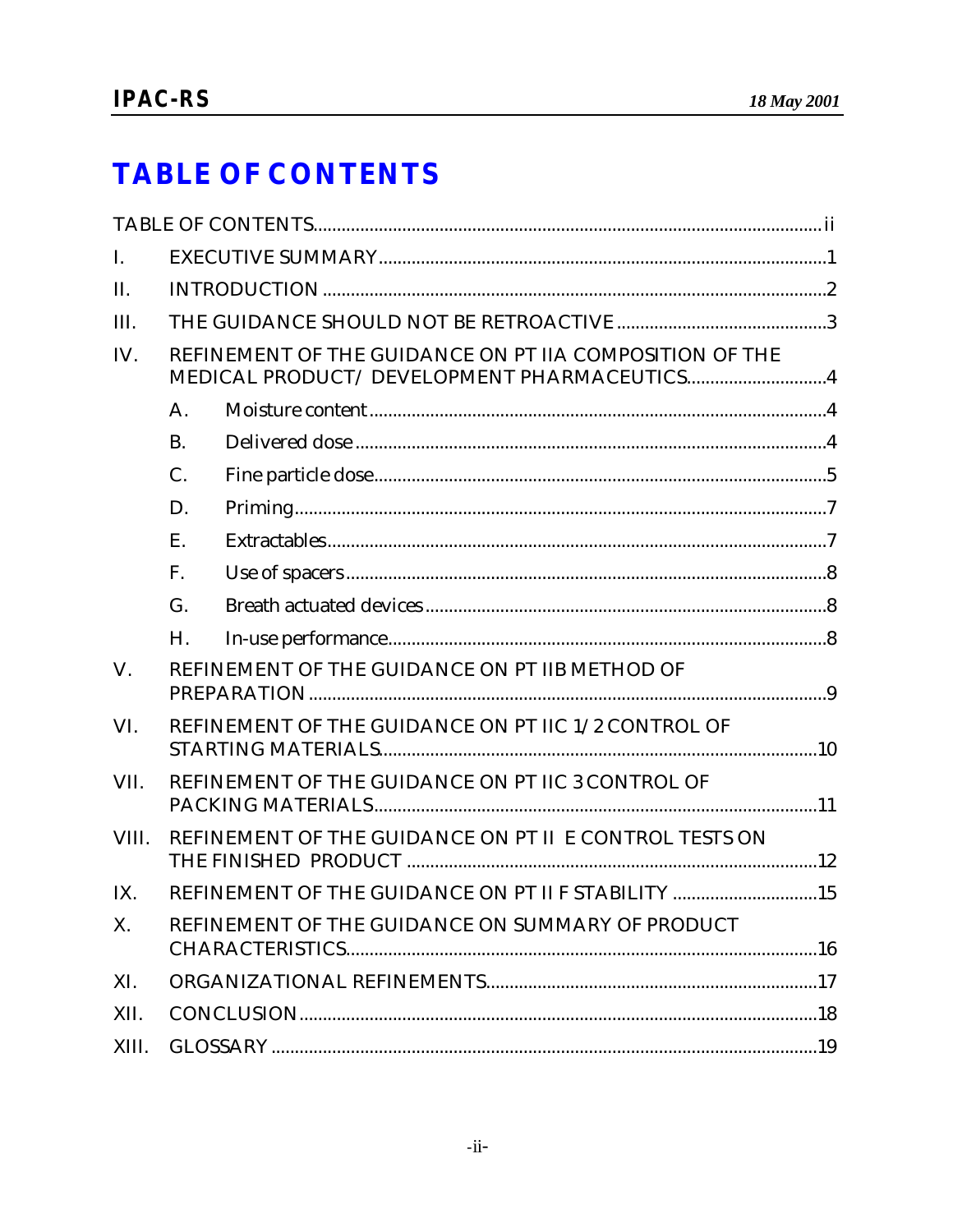### **TABLE OF CONTENTS**

| I.          |                                                                                                        |  |  |
|-------------|--------------------------------------------------------------------------------------------------------|--|--|
| II.         |                                                                                                        |  |  |
| III.        |                                                                                                        |  |  |
| IV.         | REFINEMENT OF THE GUIDANCE ON PT IIA COMPOSITION OF THE<br>MEDICAL PRODUCT/ DEVELOPMENT PHARMACEUTICS4 |  |  |
|             | A.                                                                                                     |  |  |
|             | <b>B.</b>                                                                                              |  |  |
|             | C.                                                                                                     |  |  |
|             | D.                                                                                                     |  |  |
|             | E.                                                                                                     |  |  |
|             | F.                                                                                                     |  |  |
|             | G.                                                                                                     |  |  |
|             | Н.                                                                                                     |  |  |
| $V_{\cdot}$ | REFINEMENT OF THE GUIDANCE ON PT IIB METHOD OF                                                         |  |  |
| VI.         | REFINEMENT OF THE GUIDANCE ON PT IIC 1/2 CONTROL OF                                                    |  |  |
| VII.        | REFINEMENT OF THE GUIDANCE ON PT IIC 3 CONTROL OF                                                      |  |  |
| VIII.       | REFINEMENT OF THE GUIDANCE ON PT II E CONTROL TESTS ON                                                 |  |  |
| IX.         | REFINEMENT OF THE GUIDANCE ON PT II F STABILITY 15                                                     |  |  |
| X.          | REFINEMENT OF THE GUIDANCE ON SUMMARY OF PRODUCT                                                       |  |  |
| XI.         |                                                                                                        |  |  |
| XII.        |                                                                                                        |  |  |
| XIII.       |                                                                                                        |  |  |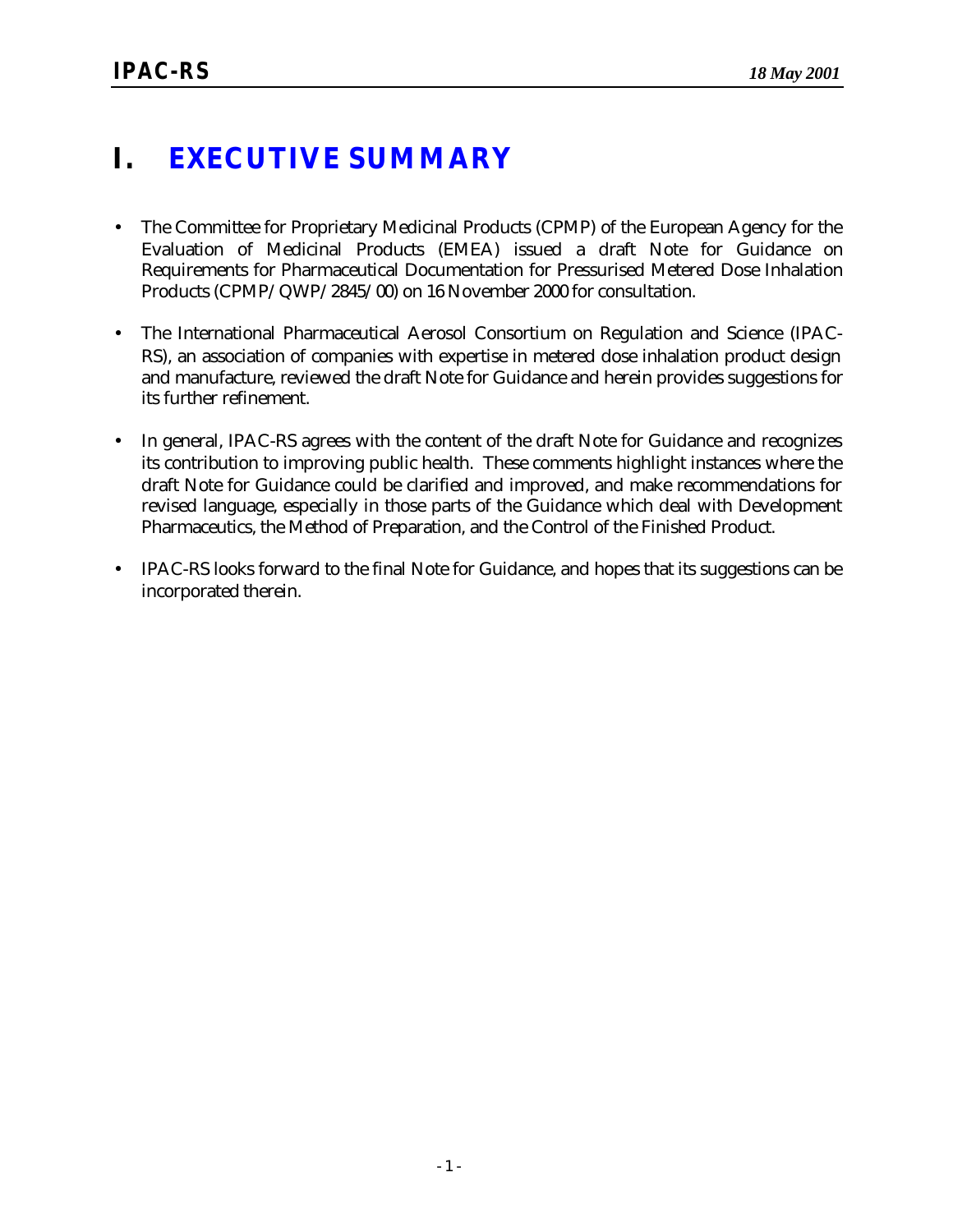### **I. EXECUTIVE SUMMARY**

- The Committee for Proprietary Medicinal Products (CPMP) of the European Agency for the Evaluation of Medicinal Products (EMEA) issued a draft Note for Guidance on Requirements for Pharmaceutical Documentation for Pressurised Metered Dose Inhalation Products (CPMP/QWP/2845/00) on 16 November 2000 for consultation.
- The International Pharmaceutical Aerosol Consortium on Regulation and Science (IPAC-RS), an association of companies with expertise in metered dose inhalation product design and manufacture, reviewed the draft Note for Guidance and herein provides suggestions for its further refinement.
- In general, IPAC-RS agrees with the content of the draft Note for Guidance and recognizes its contribution to improving public health. These comments highlight instances where the draft Note for Guidance could be clarified and improved, and make recommendations for revised language, especially in those parts of the Guidance which deal with Development Pharmaceutics, the Method of Preparation, and the Control of the Finished Product.
- IPAC-RS looks forward to the final Note for Guidance, and hopes that its suggestions can be incorporated therein.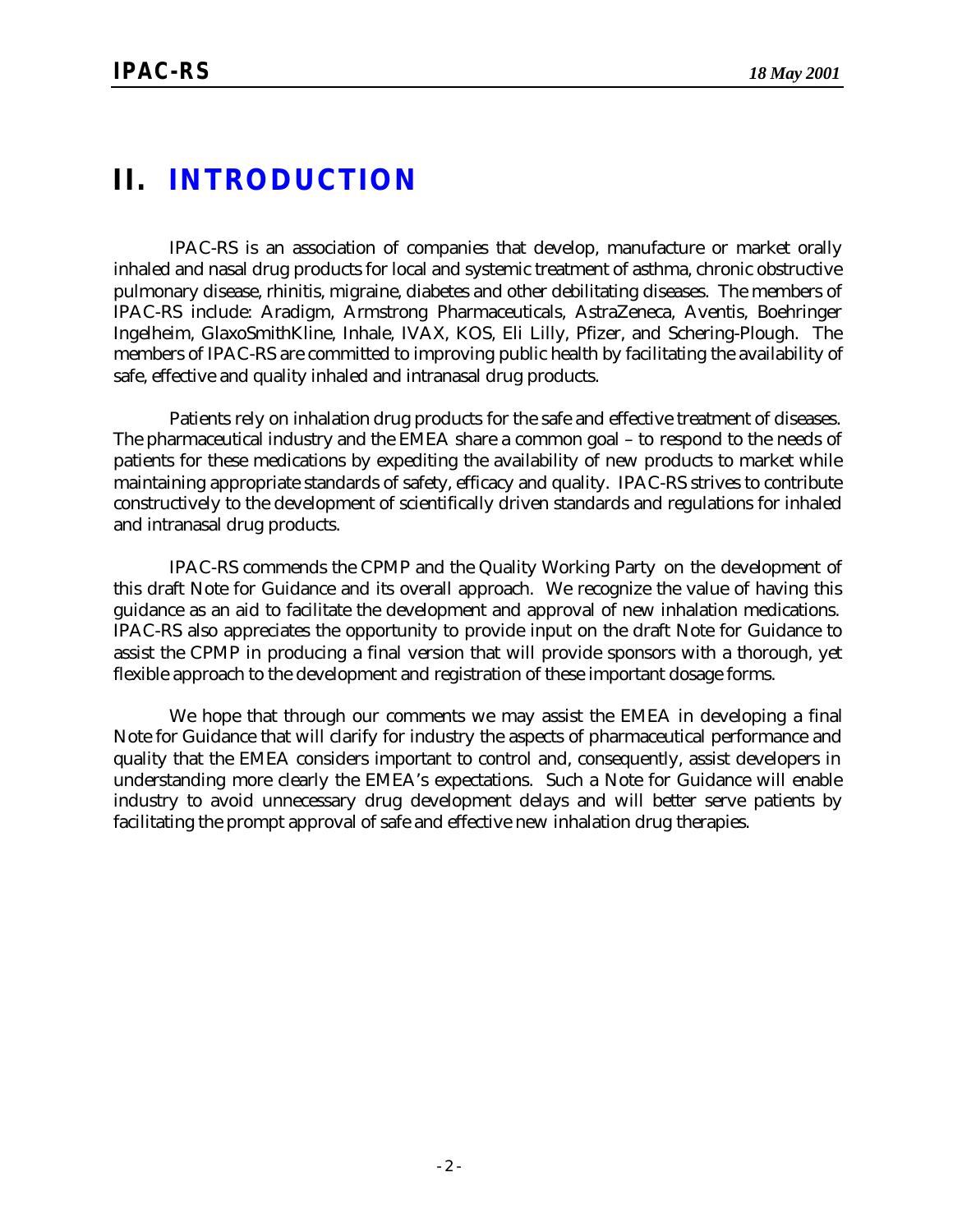### **II. INTRODUCTION**

IPAC-RS is an association of companies that develop, manufacture or market orally inhaled and nasal drug products for local and systemic treatment of asthma, chronic obstructive pulmonary disease, rhinitis, migraine, diabetes and other debilitating diseases. The members of IPAC-RS include: Aradigm, Armstrong Pharmaceuticals, AstraZeneca, Aventis, Boehringer Ingelheim, GlaxoSmithKline, Inhale, IVAX, KOS, Eli Lilly, Pfizer, and Schering-Plough. The members of IPAC-RS are committed to improving public health by facilitating the availability of safe, effective and quality inhaled and intranasal drug products.

Patients rely on inhalation drug products for the safe and effective treatment of diseases. The pharmaceutical industry and the EMEA share a common goal – to respond to the needs of patients for these medications by expediting the availability of new products to market while maintaining appropriate standards of safety, efficacy and quality. IPAC-RS strives to contribute constructively to the development of scientifically driven standards and regulations for inhaled and intranasal drug products.

IPAC-RS commends the CPMP and the Quality Working Party on the development of this draft Note for Guidance and its overall approach. We recognize the value of having this guidance as an aid to facilitate the development and approval of new inhalation medications. IPAC-RS also appreciates the opportunity to provide input on the draft Note for Guidance to assist the CPMP in producing a final version that will provide sponsors with a thorough, yet flexible approach to the development and registration of these important dosage forms.

We hope that through our comments we may assist the EMEA in developing a final Note for Guidance that will clarify for industry the aspects of pharmaceutical performance and quality that the EMEA considers important to control and, consequently, assist developers in understanding more clearly the EMEA's expectations. Such a Note for Guidance will enable industry to avoid unnecessary drug development delays and will better serve patients by facilitating the prompt approval of safe and effective new inhalation drug therapies.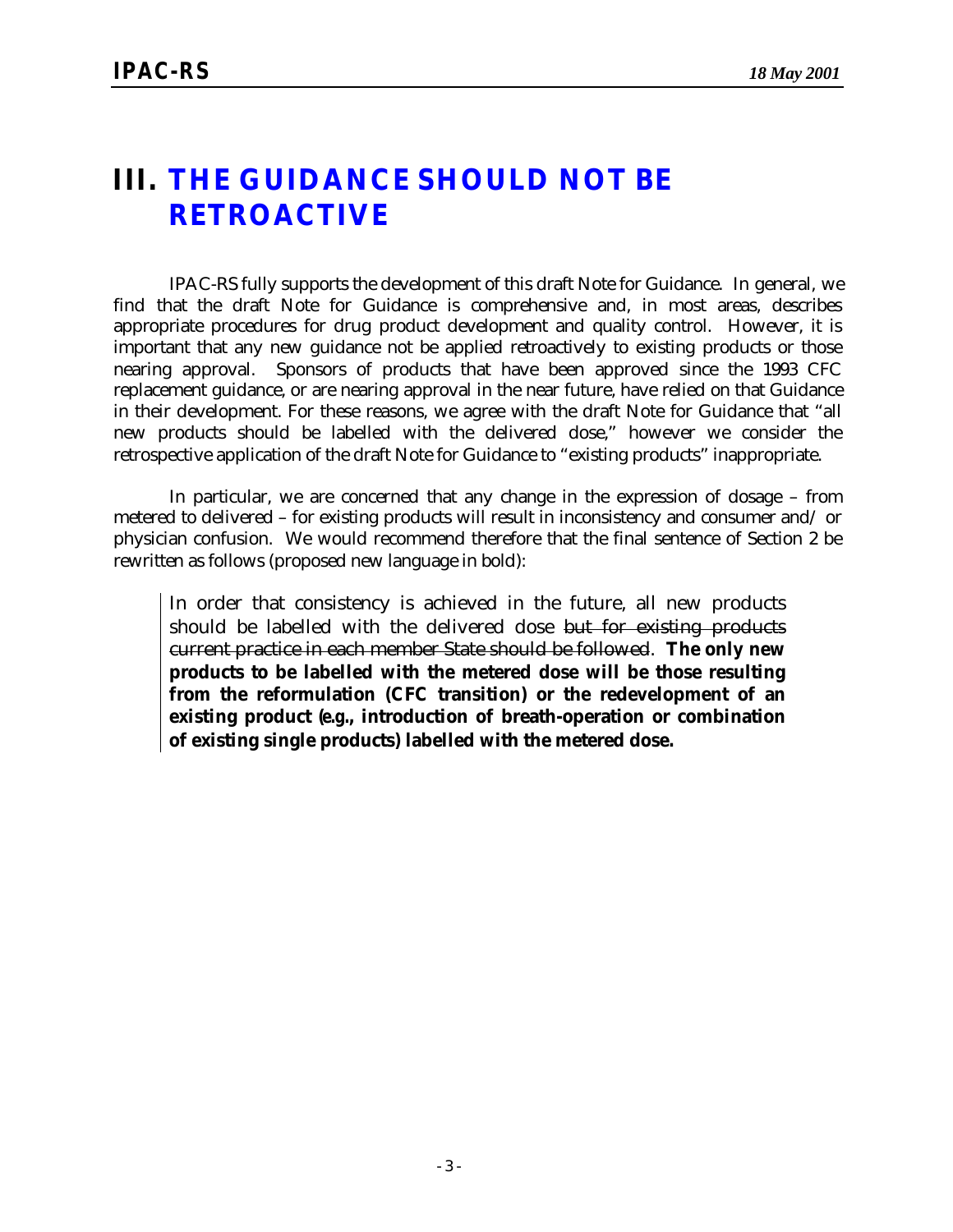### **III. THE GUIDANCE SHOULD NOT BE RETROACTIVE**

IPAC-RS fully supports the development of this draft Note for Guidance.In general, we find that the draft Note for Guidance is comprehensive and, in most areas, describes appropriate procedures for drug product development and quality control. However, it is important that any new guidance not be applied retroactively to existing products or those nearing approval. Sponsors of products that have been approved since the 1993 CFC replacement guidance, or are nearing approval in the near future, have relied on that Guidance in their development. For these reasons, we agree with the draft Note for Guidance that "all new products should be labelled with the delivered dose," however we consider the retrospective application of the draft Note for Guidance to "existing products" inappropriate.

In particular, we are concerned that any change in the expression of dosage – from metered to delivered – for existing products will result in inconsistency and consumer and/ or physician confusion. We would recommend therefore that the final sentence of Section 2 be rewritten as follows (proposed new language in bold):

In order that consistency is achieved in the future, all new products should be labelled with the delivered dose but for existing products current practice in each member State should be followed. **The only new products to be labelled with the metered dose will be those resulting from the reformulation (CFC transition) or the redevelopment of an existing product (***e.g.***, introduction of breath-operation or combination of existing single products) labelled with the metered dose.**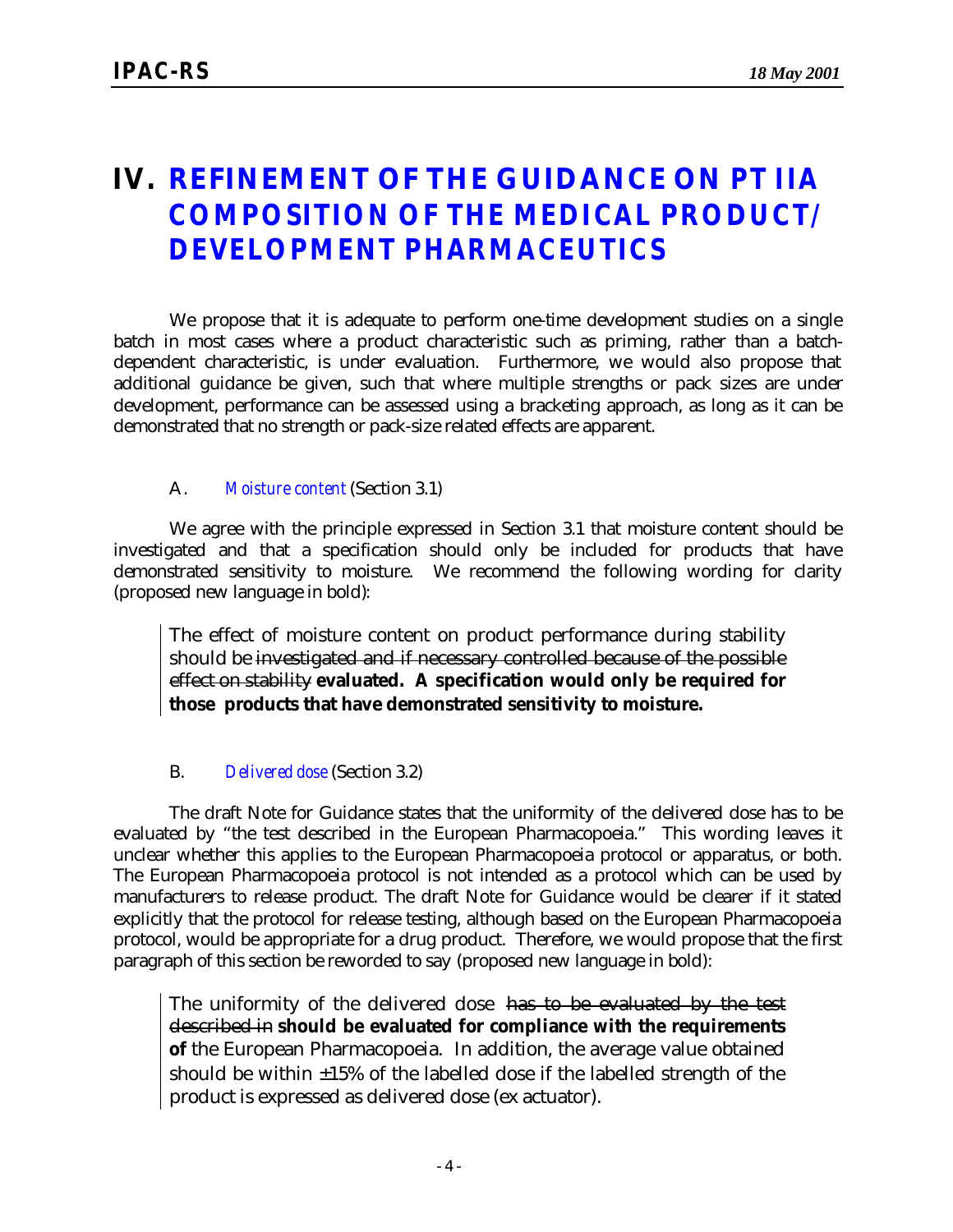### **IV. REFINEMENT OF THE GUIDANCE ON** *PT IIA COMPOSITION OF THE MEDICAL PRODUCT/ DEVELOPMENT PHARMACEUTICS*

We propose that it is adequate to perform one-time development studies on a single batch in most cases where a product characteristic such as priming, rather than a batchdependent characteristic, is under evaluation. Furthermore, we would also propose that additional guidance be given, such that where multiple strengths or pack sizes are under development, performance can be assessed using a bracketing approach, as long as it can be demonstrated that no strength or pack-size related effects are apparent.

#### A. *Moisture content* (Section 3.1)

We agree with the principle expressed in Section 3.1 that moisture content should be investigated and that a specification should only be included for products that have demonstrated sensitivity to moisture. We recommend the following wording for clarity (proposed new language in bold):

The effect of moisture content on product performance during stability should be investigated and if necessary controlled because of the possible effect on stability **evaluated. A specification would only be required for those products that have demonstrated sensitivity to moisture.**

#### B. *Delivered dose* (Section 3.2)

The draft Note for Guidance states that the uniformity of the delivered dose has to be evaluated by "the test described in the European Pharmacopoeia." This wording leaves it unclear whether this applies to the European Pharmacopoeia protocol or apparatus, or both. The European Pharmacopoeia protocol is not intended as a protocol which can be used by manufacturers to release product. The draft Note for Guidance would be clearer if it stated explicitly that the protocol for release testing, although based on the European Pharmacopoeia protocol, would be appropriate for a drug product. Therefore, we would propose that the first paragraph of this section be reworded to say (proposed new language in bold):

The uniformity of the delivered dose has to be evaluated by the test described in **should be evaluated for compliance with the requirements of** the European Pharmacopoeia. In addition, the average value obtained should be within  $\pm 15\%$  of the labelled dose if the labelled strength of the product is expressed as delivered dose (ex actuator).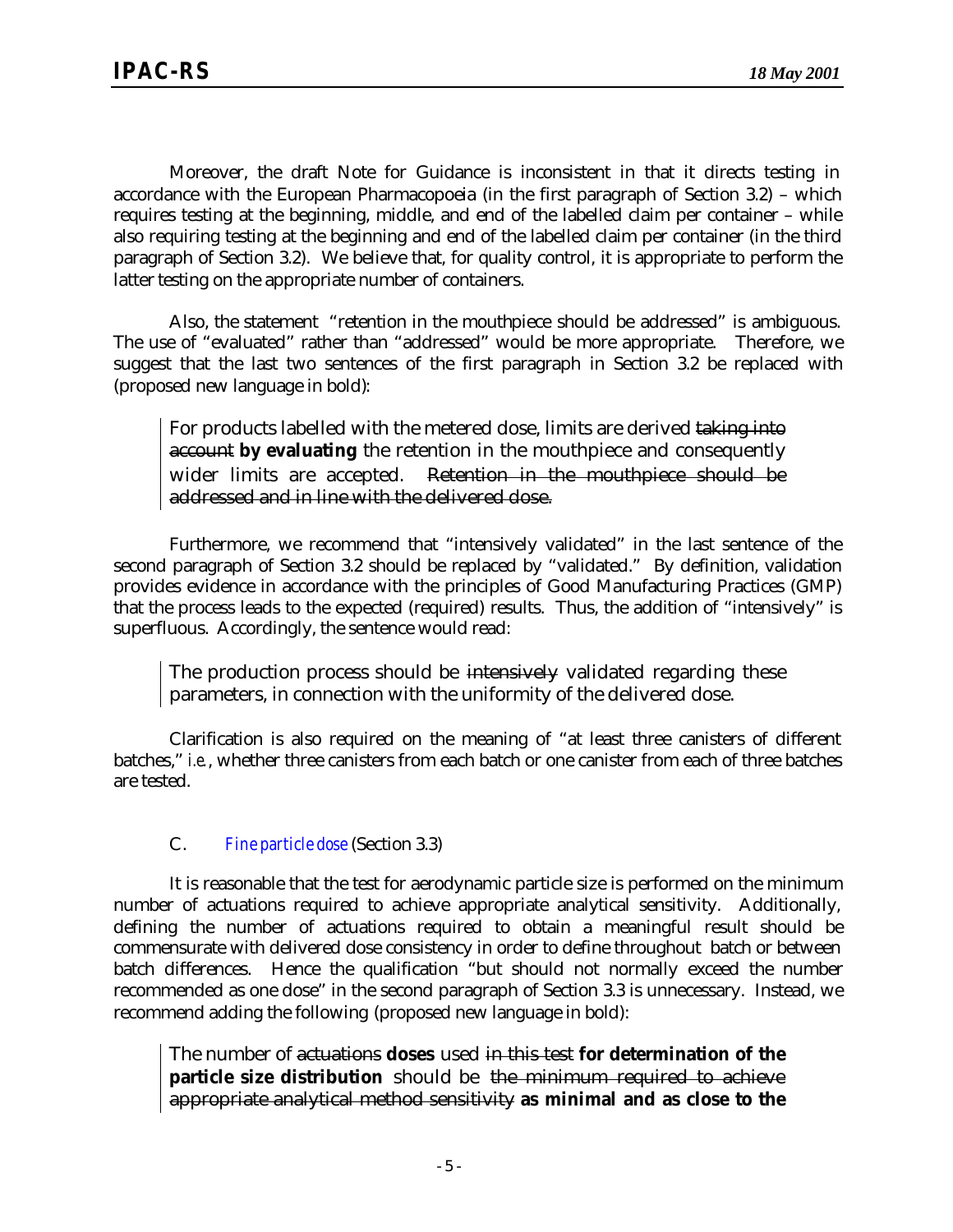Moreover, the draft Note for Guidance is inconsistent in that it directs testing in accordance with the European Pharmacopoeia (in the first paragraph of Section 3.2) – which requires testing at the beginning, middle, and end of the labelled claim per container – while also requiring testing at the beginning and end of the labelled claim per container (in the third paragraph of Section 3.2). We believe that, for quality control, it is appropriate to perform the latter testing on the appropriate number of containers.

Also, the statement "retention in the mouthpiece should be addressed" is ambiguous. The use of "evaluated" rather than "addressed" would be more appropriate. Therefore, we suggest that the last two sentences of the first paragraph in Section 3.2 be replaced with (proposed new language in bold):

For products labelled with the metered dose, limits are derived taking into account **by evaluating** the retention in the mouthpiece and consequently wider limits are accepted. Retention in the mouthpiece should be addressed and in line with the delivered dose.

Furthermore, we recommend that "intensively validated" in the last sentence of the second paragraph of Section 3.2 should be replaced by "validated." By definition, validation provides evidence in accordance with the principles of Good Manufacturing Practices (GMP) that the process leads to the expected (required) results. Thus, the addition of "intensively" is superfluous. Accordingly, the sentence would read:

The production process should be intensively validated regarding these parameters, in connection with the uniformity of the delivered dose.

Clarification is also required on the meaning of "at least three canisters of different batches," *i.e.*, whether three canisters from each batch or one canister from each of three batches are tested.

#### C. *Fine particle dose* (Section 3.3)

It is reasonable that the test for aerodynamic particle size is performed on the minimum number of actuations required to achieve appropriate analytical sensitivity. Additionally, defining the number of actuations required to obtain a meaningful result should be commensurate with delivered dose consistency in order to define throughout batch or between batch differences. Hence the qualification "but should not normally exceed the number recommended as one dose" in the second paragraph of Section 3.3 is unnecessary. Instead, we recommend adding the following (proposed new language in bold):

The number of actuations **doses** used in this test **for determination of the particle size distribution** should be the minimum required to achieve appropriate analytical method sensitivity **as minimal and as close to the**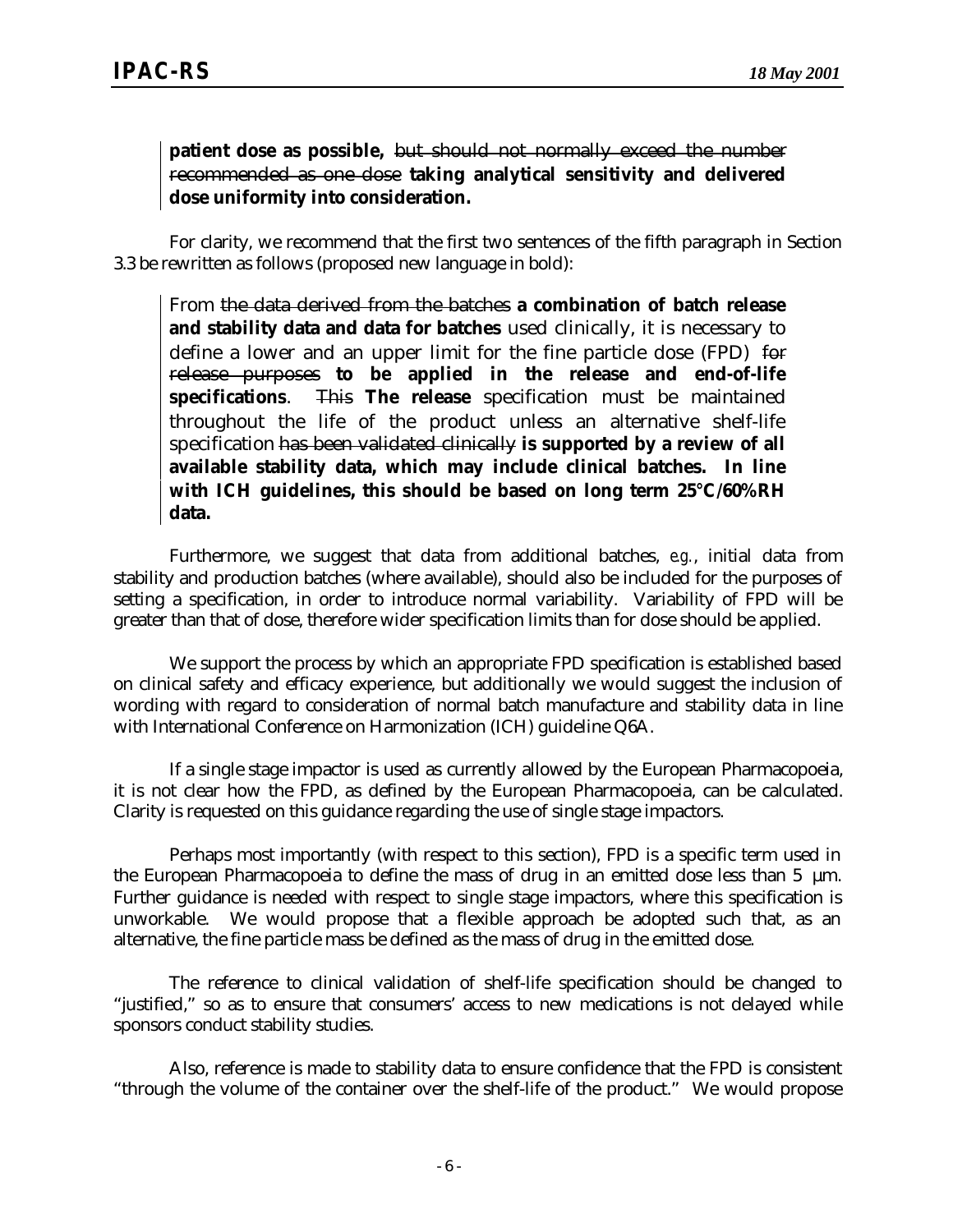#### **patient dose as possible,** but should not normally exceed the number recommended as one dose **taking analytical sensitivity and delivered dose uniformity into consideration.**

For clarity, we recommend that the first two sentences of the fifth paragraph in Section 3.3 be rewritten as follows (proposed new language in bold):

From the data derived from the batches **a combination of batch release and stability data and data for batches** used clinically, it is necessary to define a lower and an upper limit for the fine particle dose (FPD) for release purposes **to be applied in the release and end-of-life specifications**. This **The release** specification must be maintained throughout the life of the product unless an alternative shelf-life specification has been validated clinically **is supported by a review of all available stability data, which may include clinical batches. In line with ICH guidelines, this should be based on long term 25°C/60%RH data.**

Furthermore, we suggest that data from additional batches, *e.g.*, initial data from stability and production batches (where available), should also be included for the purposes of setting a specification, in order to introduce normal variability. Variability of FPD will be greater than that of dose, therefore wider specification limits than for dose should be applied.

We support the process by which an appropriate FPD specification is established based on clinical safety and efficacy experience, but additionally we would suggest the inclusion of wording with regard to consideration of normal batch manufacture and stability data in line with International Conference on Harmonization (ICH) guideline Q6A.

If a single stage impactor is used as currently allowed by the European Pharmacopoeia, it is not clear how the FPD, as defined by the European Pharmacopoeia, can be calculated. Clarity is requested on this guidance regarding the use of single stage impactors.

Perhaps most importantly (with respect to this section), FPD is a specific term used in the European Pharmacopoeia to define the mass of drug in an emitted dose less than 5 μm. Further guidance is needed with respect to single stage impactors, where this specification is unworkable. We would propose that a flexible approach be adopted such that, as an alternative, the fine particle mass be defined as the mass of drug in the emitted dose.

The reference to clinical validation of shelf-life specification should be changed to "justified," so as to ensure that consumers' access to new medications is not delayed while sponsors conduct stability studies.

Also, reference is made to stability data to ensure confidence that the FPD is consistent "through the volume of the container over the shelf-life of the product." We would propose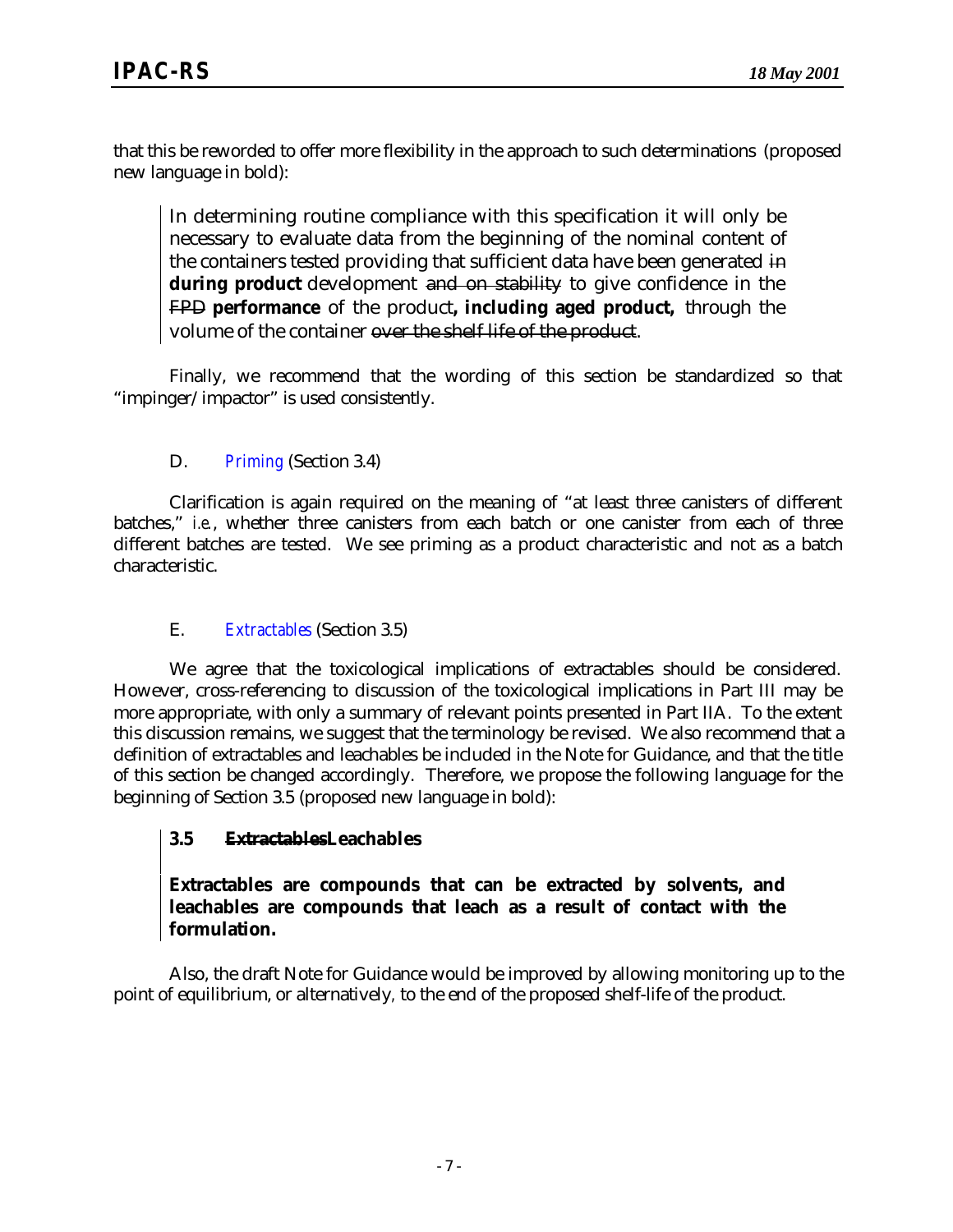that this be reworded to offer more flexibility in the approach to such determinations (proposed new language in bold):

In determining routine compliance with this specification it will only be necessary to evaluate data from the beginning of the nominal content of the containers tested providing that sufficient data have been generated in **during product** development and on stability to give confidence in the FPD **performance** of the product**, including aged product,** through the volume of the container over the shelf life of the product.

Finally, we recommend that the wording of this section be standardized so that "impinger/impactor" is used consistently.

#### D. *Priming* (Section 3.4)

Clarification is again required on the meaning of "at least three canisters of different batches," *i.e.*, whether three canisters from each batch or one canister from each of three different batches are tested. We see priming as a product characteristic and not as a batch characteristic.

#### E. *Extractables* (Section 3.5)

We agree that the toxicological implications of extractables should be considered. However, cross-referencing to discussion of the toxicological implications in Part III may be more appropriate, with only a summary of relevant points presented in Part IIA. To the extent this discussion remains, we suggest that the terminology be revised. We also recommend that a definition of extractables and leachables be included in the Note for Guidance, and that the title of this section be changed accordingly. Therefore, we propose the following language for the beginning of Section 3.5 (proposed new language in bold):

#### **3.5 ExtractablesLeachables**

#### **Extractables are compounds that can be extracted by solvents, and leachables are compounds that leach as a result of contact with the formulation.**

Also, the draft Note for Guidance would be improved by allowing monitoring up to the point of equilibrium, or alternatively*,* to the end of the proposed shelf-life of the product.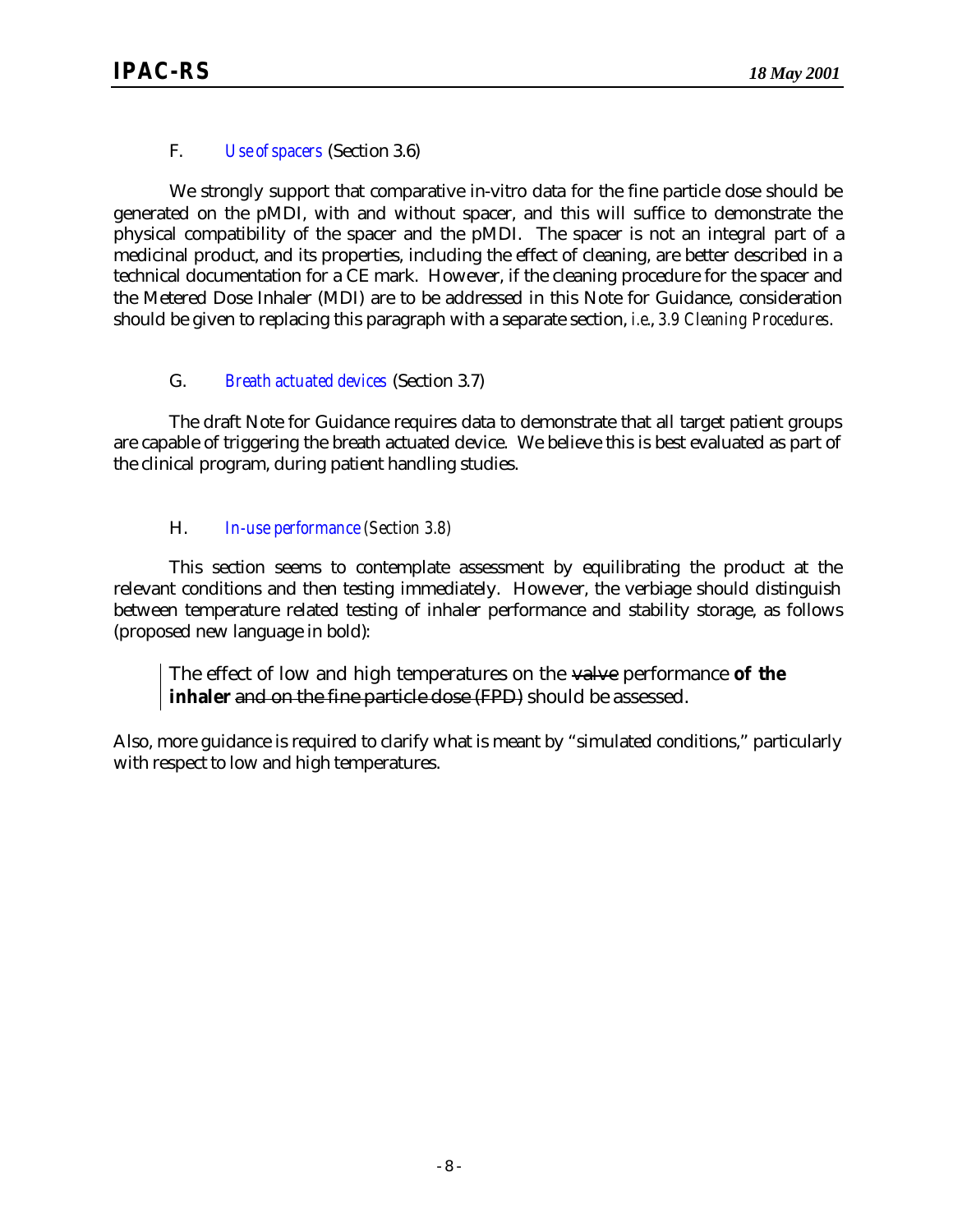#### F. *Use of spacers* (Section 3.6)

We strongly support that comparative in-vitro data for the fine particle dose should be generated on the pMDI, with and without spacer, and this will suffice to demonstrate the physical compatibility of the spacer and the pMDI. The spacer is not an integral part of a medicinal product, and its properties, including the effect of cleaning, are better described in a technical documentation for a CE mark. However, if the cleaning procedure for the spacer and the Metered Dose Inhaler (MDI) are to be addressed in this Note for Guidance, consideration should be given to replacing this paragraph with a separate section, *i.e.*, *3.9 Cleaning Procedures*.

#### G. *Breath actuated devices* (Section 3.7)

The draft Note for Guidance requires data to demonstrate that all target patient groups are capable of triggering the breath actuated device. We believe this is best evaluated as part of the clinical program, during patient handling studies.

#### H. *In-use performance (Section 3.8)*

This section seems to contemplate assessment by equilibrating the product at the relevant conditions and then testing immediately. However, the verbiage should distinguish between temperature related testing of inhaler performance and stability storage, as follows (proposed new language in bold):

The effect of low and high temperatures on the valve performance **of the inhaler** and on the fine particle dose (FPD) should be assessed.

Also, more guidance is required to clarify what is meant by "simulated conditions," particularly with respect to low and high temperatures.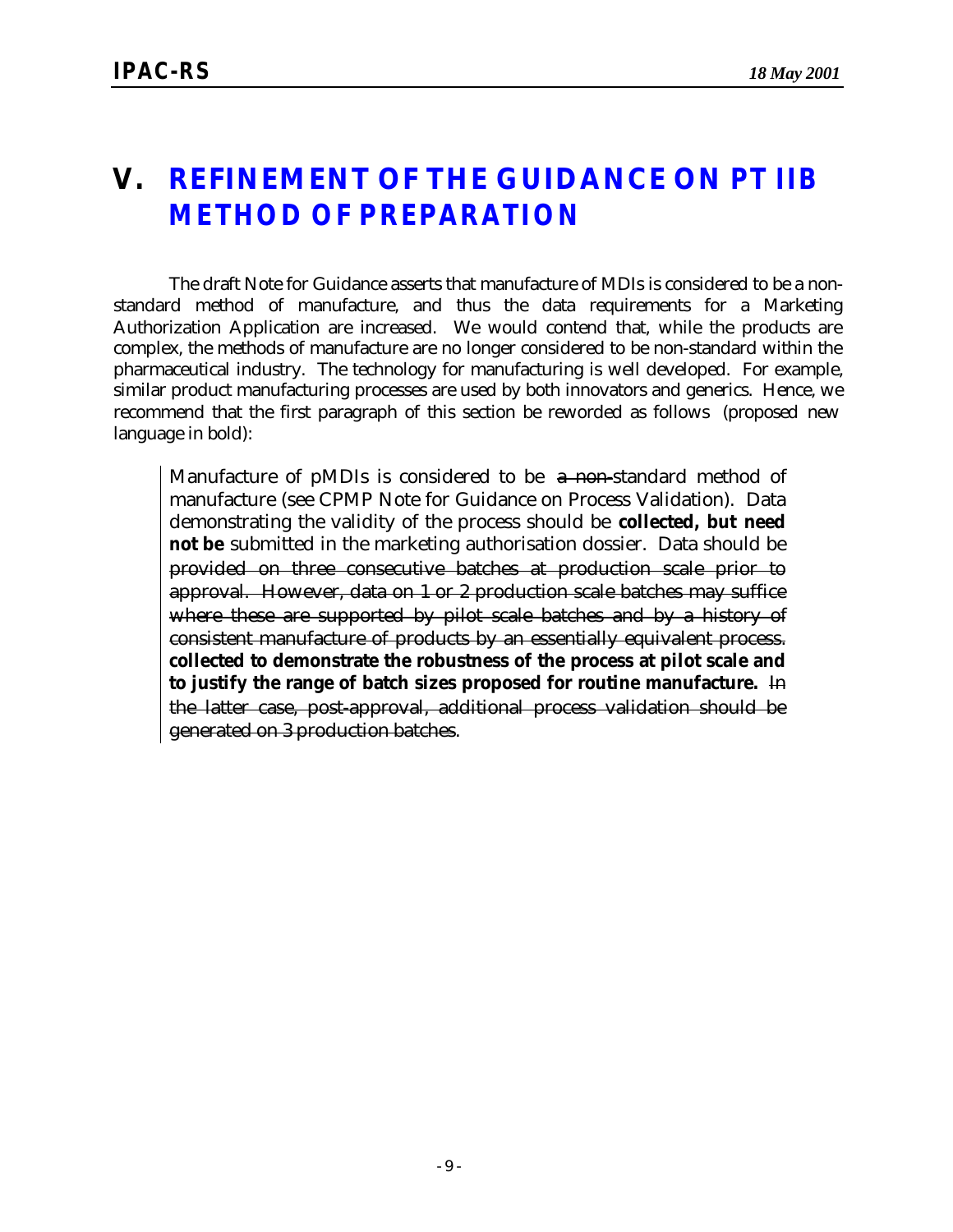### **V. REFINEMENT OF THE GUIDANCE ON** *PT IIB METHOD OF PREPARATION*

The draft Note for Guidance asserts that manufacture of MDIs is considered to be a nonstandard method of manufacture, and thus the data requirements for a Marketing Authorization Application are increased. We would contend that, while the products are complex, the methods of manufacture are no longer considered to be non-standard within the pharmaceutical industry. The technology for manufacturing is well developed. For example, similar product manufacturing processes are used by both innovators and generics. Hence, we recommend that the first paragraph of this section be reworded as follows (proposed new language in bold):

Manufacture of pMDIs is considered to be a non-standard method of manufacture (see CPMP Note for Guidance on Process Validation). Data demonstrating the validity of the process should be **collected, but need not be** submitted in the marketing authorisation dossier. Data should be provided on three consecutive batches at production scale prior to approval. However, data on 1 or 2 production scale batches may suffice where these are supported by pilot scale batches and by a history of consistent manufacture of products by an essentially equivalent process. **collected to demonstrate the robustness of the process at pilot scale and to justify the range of batch sizes proposed for routine manufacture.** In the latter case, post-approval, additional process validation should be generated on 3 production batches.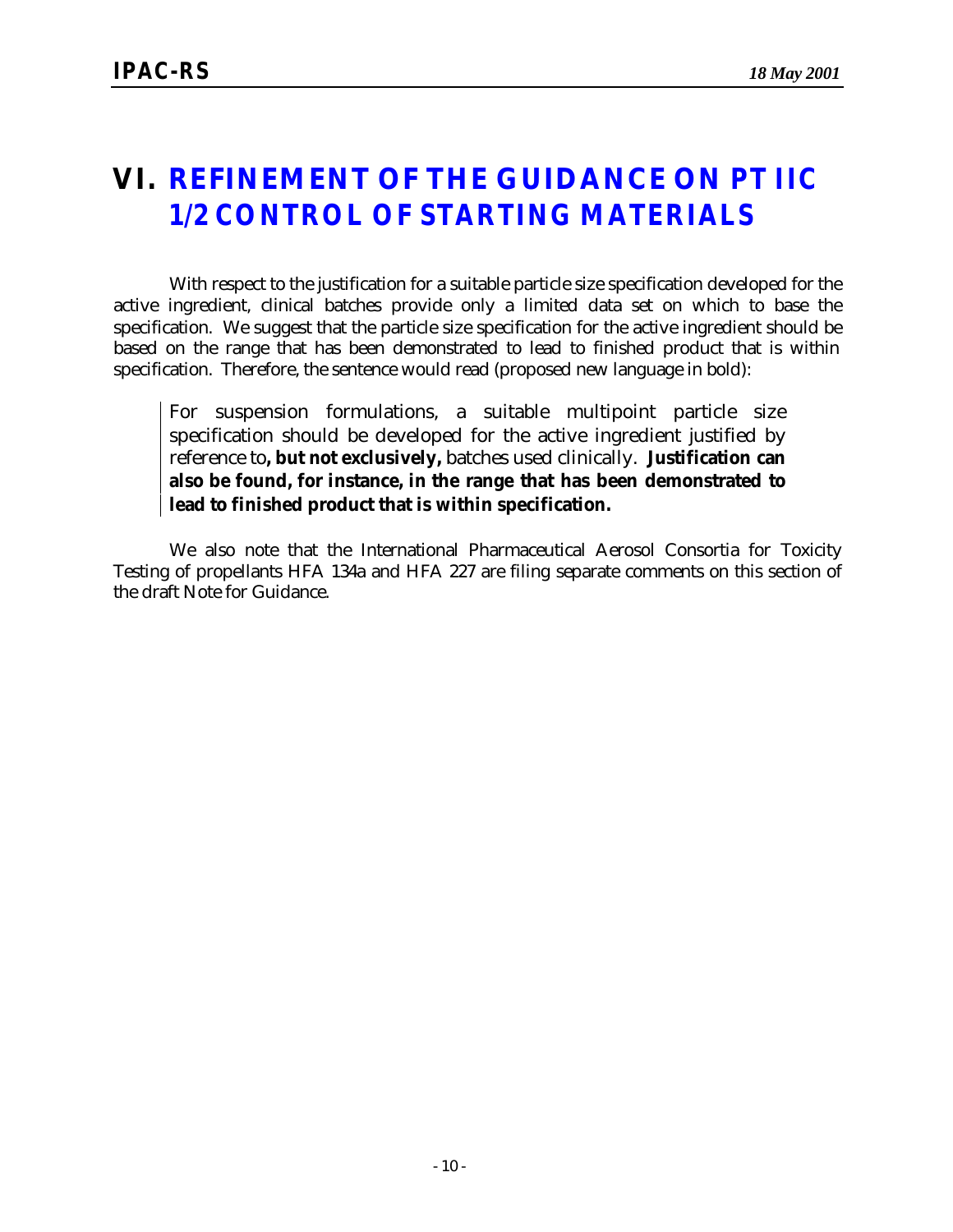### **VI. REFINEMENT OF THE GUIDANCE ON** *PT IIC 1/2 CONTROL OF STARTING MATERIALS*

With respect to the justification for a suitable particle size specification developed for the active ingredient, clinical batches provide only a limited data set on which to base the specification. We suggest that the particle size specification for the active ingredient should be based on the range that has been demonstrated to lead to finished product that is within specification. Therefore, the sentence would read (proposed new language in bold):

For suspension formulations, a suitable multipoint particle size specification should be developed for the active ingredient justified by reference to**, but not exclusively,** batches used clinically. **Justification can also be found, for instance, in the range that has been demonstrated to lead to finished product that is within specification.**

We also note that the International Pharmaceutical Aerosol Consortia for Toxicity Testing of propellants HFA 134a and HFA 227 are filing separate comments on this section of the draft Note for Guidance.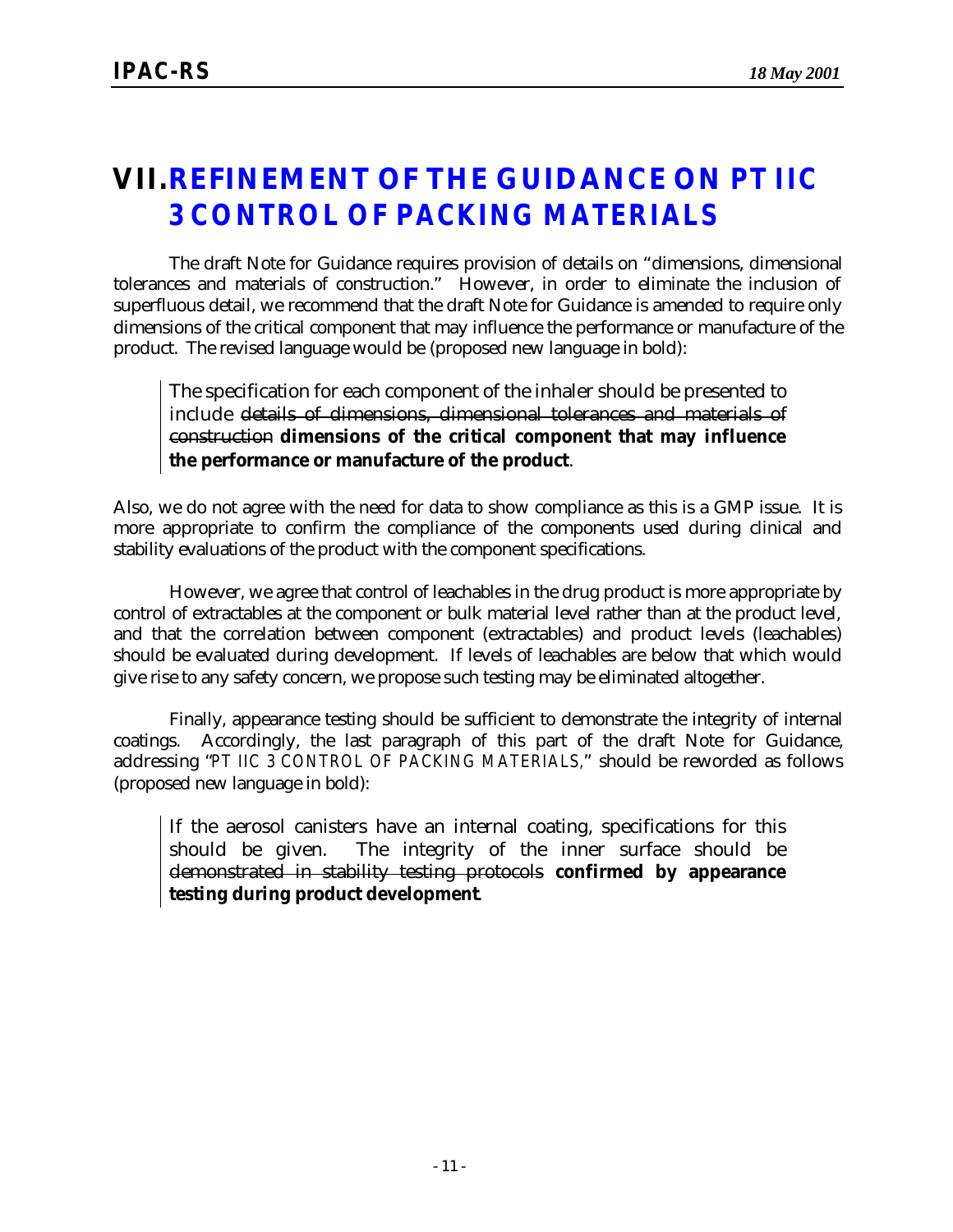### **VII.REFINEMENT OF THE GUIDANCE ON** *PT IIC 3 CONTROL OF PACKING MATERIALS*

The draft Note for Guidance requires provision of details on "dimensions, dimensional tolerances and materials of construction." However, in order to eliminate the inclusion of superfluous detail, we recommend that the draft Note for Guidance is amended to require only dimensions of the critical component that may influence the performance or manufacture of the product. The revised language would be (proposed new language in bold):

The specification for each component of the inhaler should be presented to include details of dimensions, dimensional tolerances and materials of construction **dimensions of the critical component that may influence the performance or manufacture of the product**.

Also, we do not agree with the need for data to show compliance as this is a GMP issue. It is more appropriate to confirm the compliance of the components used during clinical and stability evaluations of the product with the component specifications.

However, we agree that control of leachables in the drug product is more appropriate by control of extractables at the component or bulk material level rather than at the product level, and that the correlation between component (extractables) and product levels (leachables) should be evaluated during development. If levels of leachables are below that which would give rise to any safety concern, we propose such testing may be eliminated altogether.

Finally, appearance testing should be sufficient to demonstrate the integrity of internal coatings. Accordingly, the last paragraph of this part of the draft Note for Guidance, addressing "*PT IIC 3 CONTROL OF PACKING MATERIALS,*" should be reworded as follows (proposed new language in bold):

If the aerosol canisters have an internal coating, specifications for this should be given. The integrity of the inner surface should be demonstrated in stability testing protocols **confirmed by appearance testing during product development**.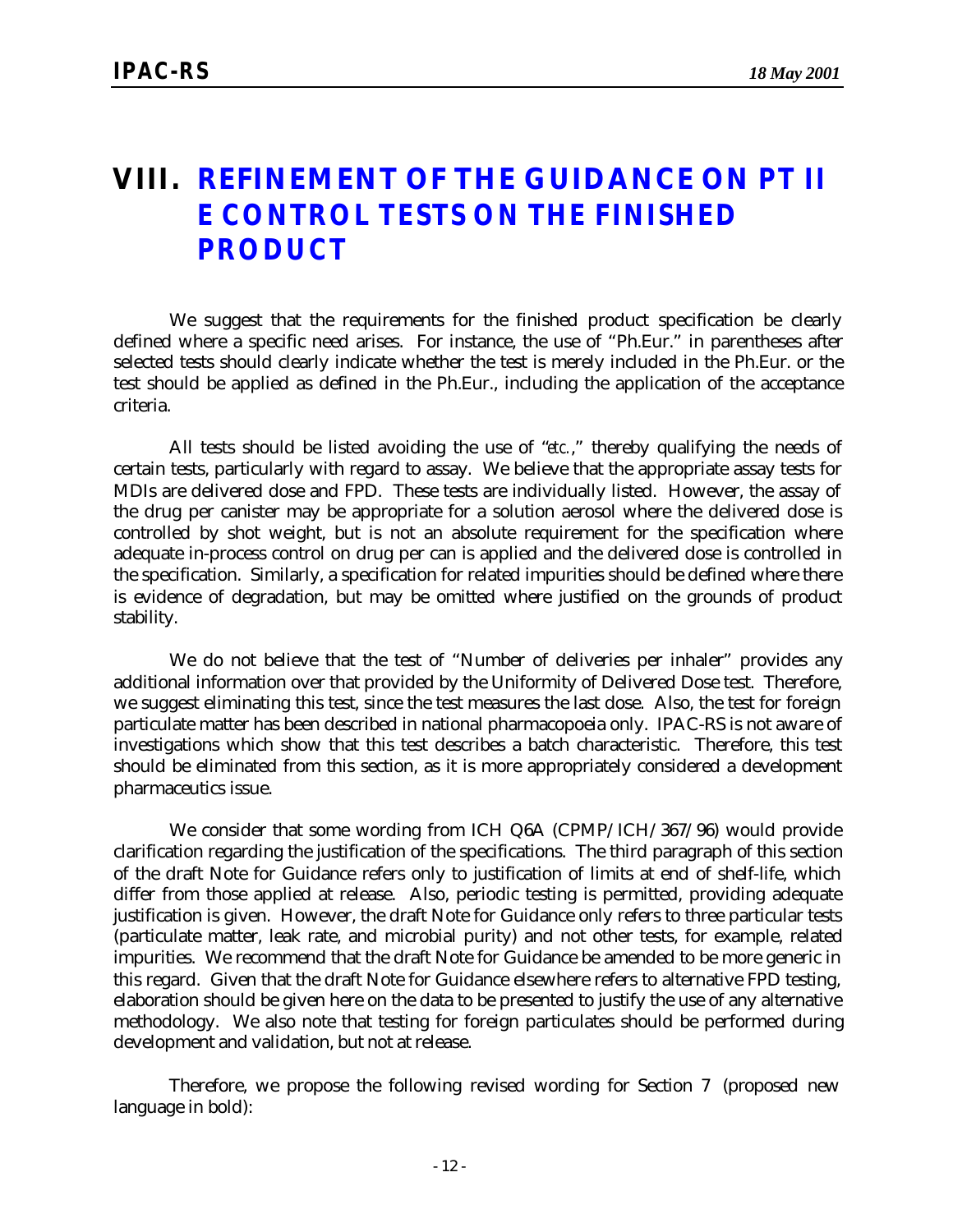### **VIII. REFINEMENT OF THE GUIDANCE ON** *PT II E CONTROL TESTS ON THE FINISHED PRODUCT*

We suggest that the requirements for the finished product specification be clearly defined where a specific need arises. For instance, the use of "Ph.Eur." in parentheses after selected tests should clearly indicate whether the test is merely included in the Ph.Eur. or the test should be applied as defined in the Ph.Eur., including the application of the acceptance criteria.

All tests should be listed avoiding the use of "*etc.*," thereby qualifying the needs of certain tests, particularly with regard to assay. We believe that the appropriate assay tests for MDIs are delivered dose and FPD. These tests are individually listed. However, the assay of the drug per canister may be appropriate for a solution aerosol where the delivered dose is controlled by shot weight, but is not an absolute requirement for the specification where adequate in-process control on drug per can is applied and the delivered dose is controlled in the specification. Similarly, a specification for related impurities should be defined where there is evidence of degradation, but may be omitted where justified on the grounds of product stability.

We do not believe that the test of "Number of deliveries per inhaler" provides any additional information over that provided by the Uniformity of Delivered Dose test. Therefore, we suggest eliminating this test, since the test measures the last dose. Also, the test for foreign particulate matter has been described in national pharmacopoeia only. IPAC-RS is not aware of investigations which show that this test describes a batch characteristic. Therefore, this test should be eliminated from this section, as it is more appropriately considered a development pharmaceutics issue.

We consider that some wording from ICH Q6A (CPMP/ICH/367/96) would provide clarification regarding the justification of the specifications. The third paragraph of this section of the draft Note for Guidance refers only to justification of limits at end of shelf-life, which differ from those applied at release. Also, periodic testing is permitted, providing adequate justification is given. However, the draft Note for Guidance only refers to three particular tests (particulate matter, leak rate, and microbial purity) and not other tests, for example, related impurities. We recommend that the draft Note for Guidance be amended to be more generic in this regard. Given that the draft Note for Guidance elsewhere refers to alternative FPD testing, elaboration should be given here on the data to be presented to justify the use of any alternative methodology. We also note that testing for foreign particulates should be performed during development and validation, but not at release.

Therefore, we propose the following revised wording for Section 7 (proposed new language in bold):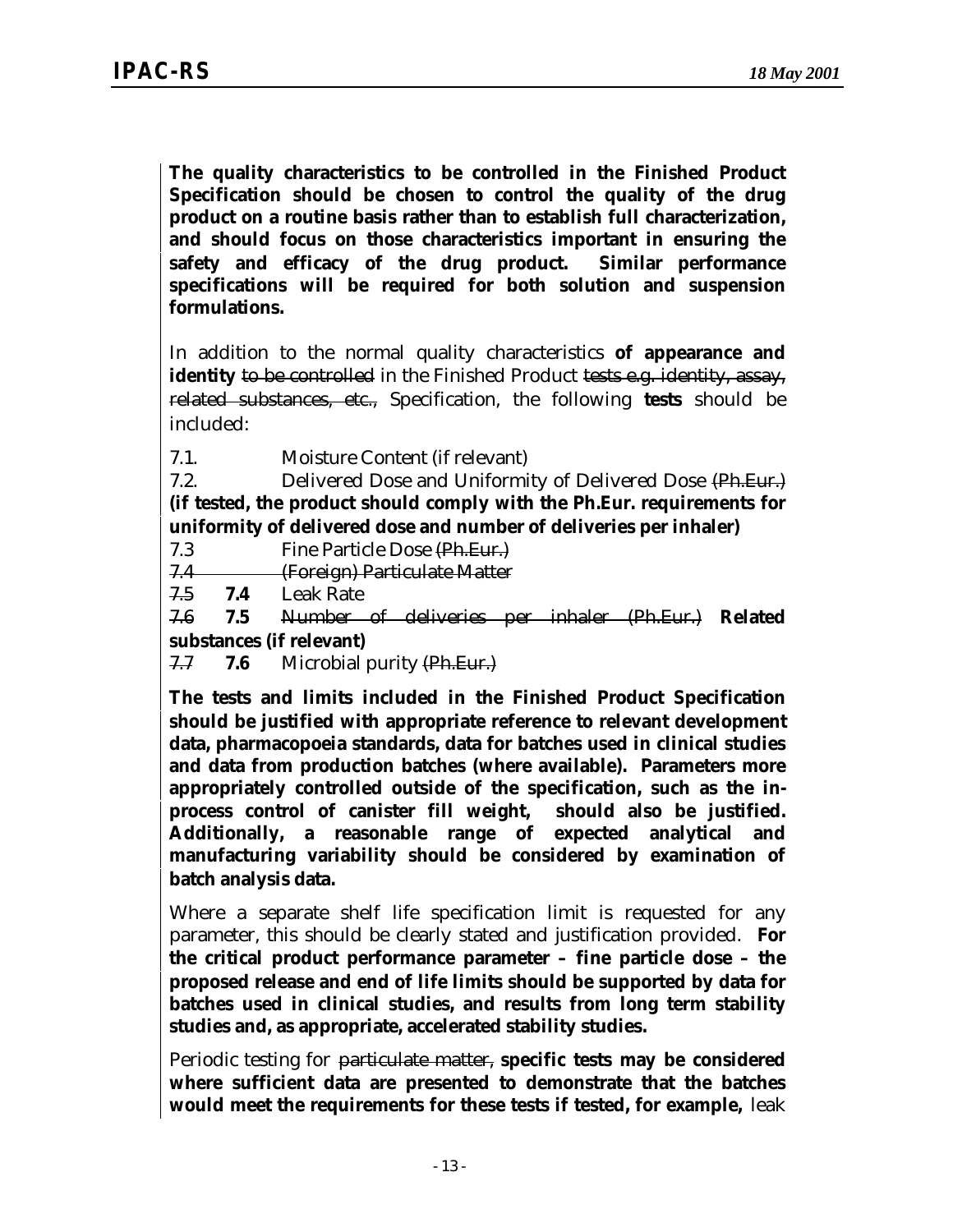**The quality characteristics to be controlled in the Finished Product Specification should be chosen to control the quality of the drug product on a routine basis rather than to establish full characterization, and should focus on those characteristics important in ensuring the safety and efficacy of the drug product. Similar performance specifications will be required for both solution and suspension formulations.**

In addition to the normal quality characteristics **of appearance and identity** to be controlled in the Finished Product tests e.g. identity, assay, related substances, etc., Specification, the following **tests** should be included:

7.1. Moisture Content (if relevant)

7.2. Delivered Dose and Uniformity of Delivered Dose (Ph.Eur.) **(if tested, the product should comply with the Ph.Eur. requirements for uniformity of delivered dose and number of deliveries per inhaler)**

7.3 Fine Particle Dose (Ph.Eur.)

7.4 (Foreign) Particulate Matter

7.5 **7.4** Leak Rate

7.6 **7.5** Number of deliveries per inhaler (Ph.Eur.) **Related**

**substances (if relevant)**

7.7 **7.6** Microbial purity (Ph.Eur.)

**The tests and limits included in the Finished Product Specification should be justified with appropriate reference to relevant development data, pharmacopoeia standards, data for batches used in clinical studies and data from production batches (where available). Parameters more appropriately controlled outside of the specification, such as the inprocess control of canister fill weight, should also be justified. Additionally, a reasonable range of expected analytical and manufacturing variability should be considered by examination of batch analysis data.**

Where a separate shelf life specification limit is requested for any parameter, this should be clearly stated and justification provided. **For the critical product performance parameter – fine particle dose – the proposed release and end of life limits should be supported by data for batches used in clinical studies, and results from long term stability studies and, as appropriate, accelerated stability studies.**

Periodic testing for particulate matter, **specific tests may be considered where sufficient data are presented to demonstrate that the batches would meet the requirements for these tests if tested, for example,** leak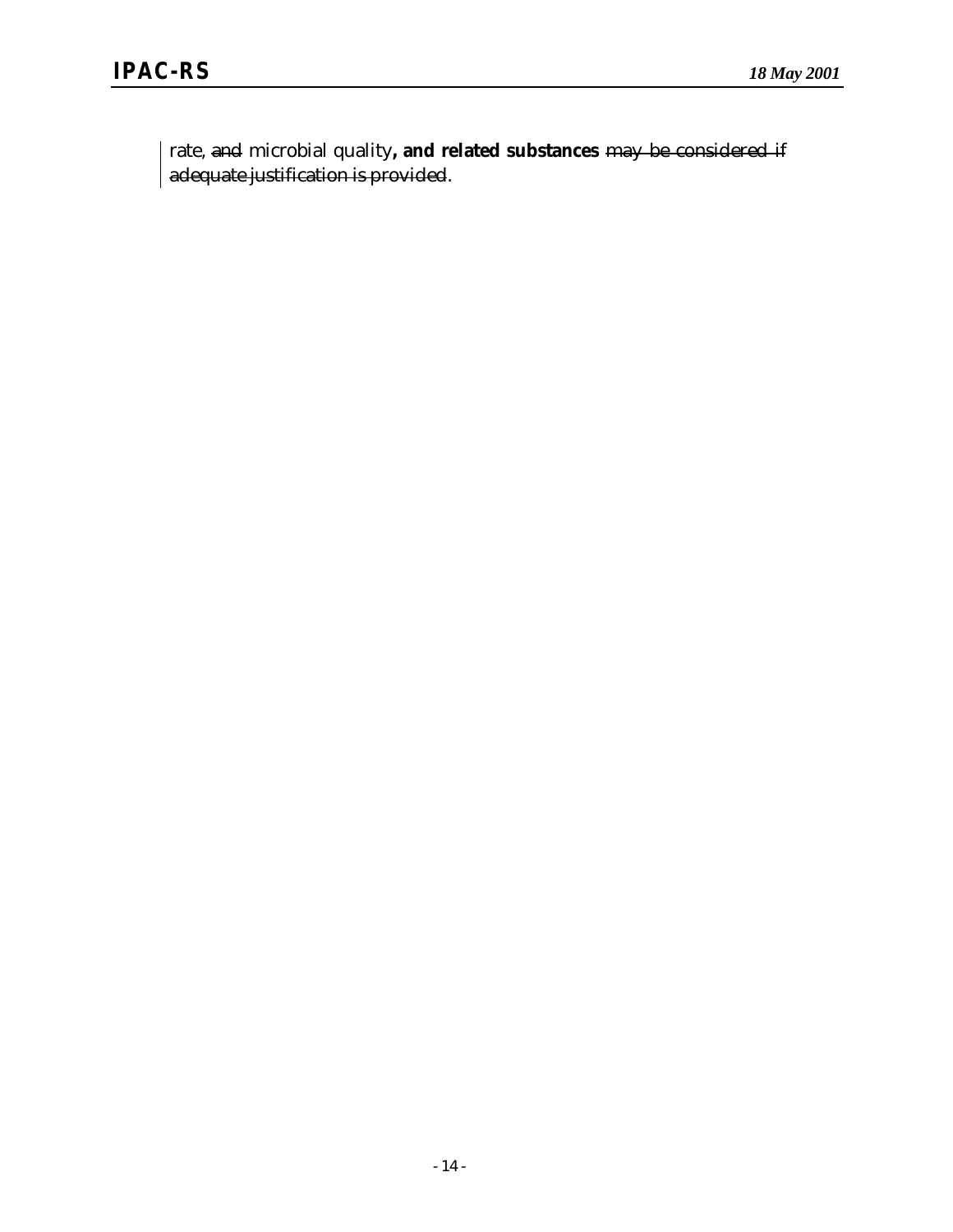rate, and microbial quality**, and related substances** may be considered if adequate justification is provided.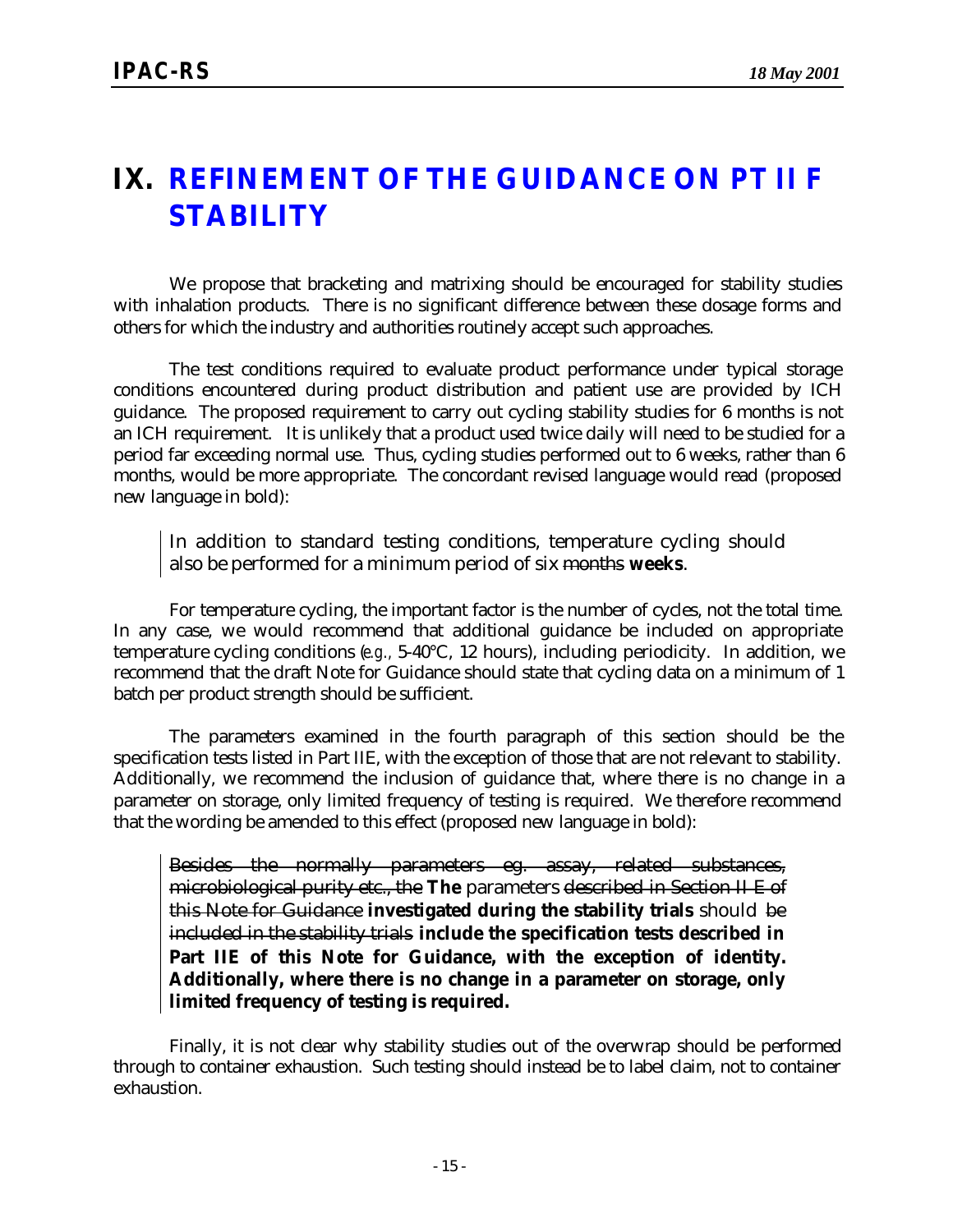### **IX. REFINEMENT OF THE GUIDANCE ON** *PT II F* **STABILITY**

We propose that bracketing and matrixing should be encouraged for stability studies with inhalation products. There is no significant difference between these dosage forms and others for which the industry and authorities routinely accept such approaches.

The test conditions required to evaluate product performance under typical storage conditions encountered during product distribution and patient use are provided by ICH guidance. The proposed requirement to carry out cycling stability studies for 6 months is not an ICH requirement. It is unlikely that a product used twice daily will need to be studied for a period far exceeding normal use. Thus, cycling studies performed out to 6 weeks, rather than 6 months, would be more appropriate. The concordant revised language would read (proposed new language in bold):

In addition to standard testing conditions, temperature cycling should also be performed for a minimum period of six months **weeks**.

For temperature cycling, the important factor is the number of cycles, not the total time. In any case, we would recommend that additional guidance be included on appropriate temperature cycling conditions (*e.g.,* 5-40°C, 12 hours), including periodicity. In addition, we recommend that the draft Note for Guidance should state that cycling data on a minimum of 1 batch per product strength should be sufficient.

The parameters examined in the fourth paragraph of this section should be the specification tests listed in Part IIE, with the exception of those that are not relevant to stability. Additionally, we recommend the inclusion of guidance that, where there is no change in a parameter on storage, only limited frequency of testing is required. We therefore recommend that the wording be amended to this effect (proposed new language in bold):

Besides the normally parameters eg. assay, related substances, microbiological purity etc., the **The** parameters described in Section II E of this Note for Guidance **investigated during the stability trials** should be included in the stability trials **include the specification tests described in Part IIE of this Note for Guidance, with the exception of identity. Additionally, where there is no change in a parameter on storage, only limited frequency of testing is required.**

Finally, it is not clear why stability studies out of the overwrap should be performed through to container exhaustion. Such testing should instead be to label claim, not to container exhaustion.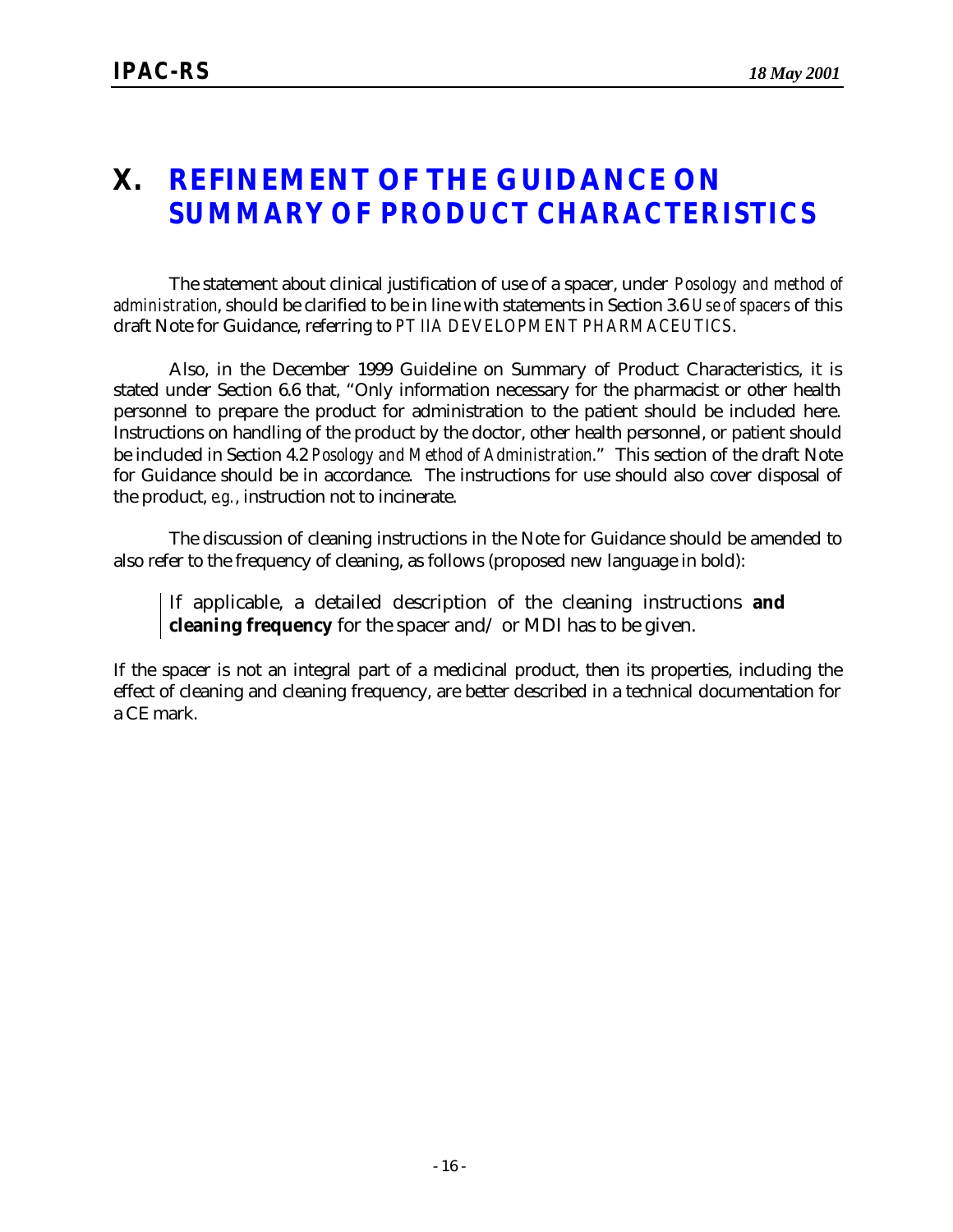### **X. REFINEMENT OF THE GUIDANCE ON** *SUMMARY OF PRODUCT CHARACTERISTICS*

The statement about clinical justification of use of a spacer, under *Posology and method of administration*, should be clarified to be in line with statements in Section 3.6 *Use of spacers* of this draft Note for Guidance, referring to *PT IIA DEVELOPMENT PHARMACEUTICS*.

Also, in the December 1999 Guideline on Summary of Product Characteristics, it is stated under Section 6.6 that, "Only information necessary for the pharmacist or other health personnel to prepare the product for administration to the patient should be included here. Instructions on handling of the product by the doctor, other health personnel, or patient should be included in Section 4.2 *Posology and Method of Administration*." This section of the draft Note for Guidance should be in accordance. The instructions for use should also cover disposal of the product, *e.g.*, instruction not to incinerate.

The discussion of cleaning instructions in the Note for Guidance should be amended to also refer to the frequency of cleaning, as follows (proposed new language in bold):

If applicable, a detailed description of the cleaning instructions **and cleaning frequency** for the spacer and/ or MDI has to be given.

If the spacer is not an integral part of a medicinal product, then its properties, including the effect of cleaning and cleaning frequency, are better described in a technical documentation for a CE mark.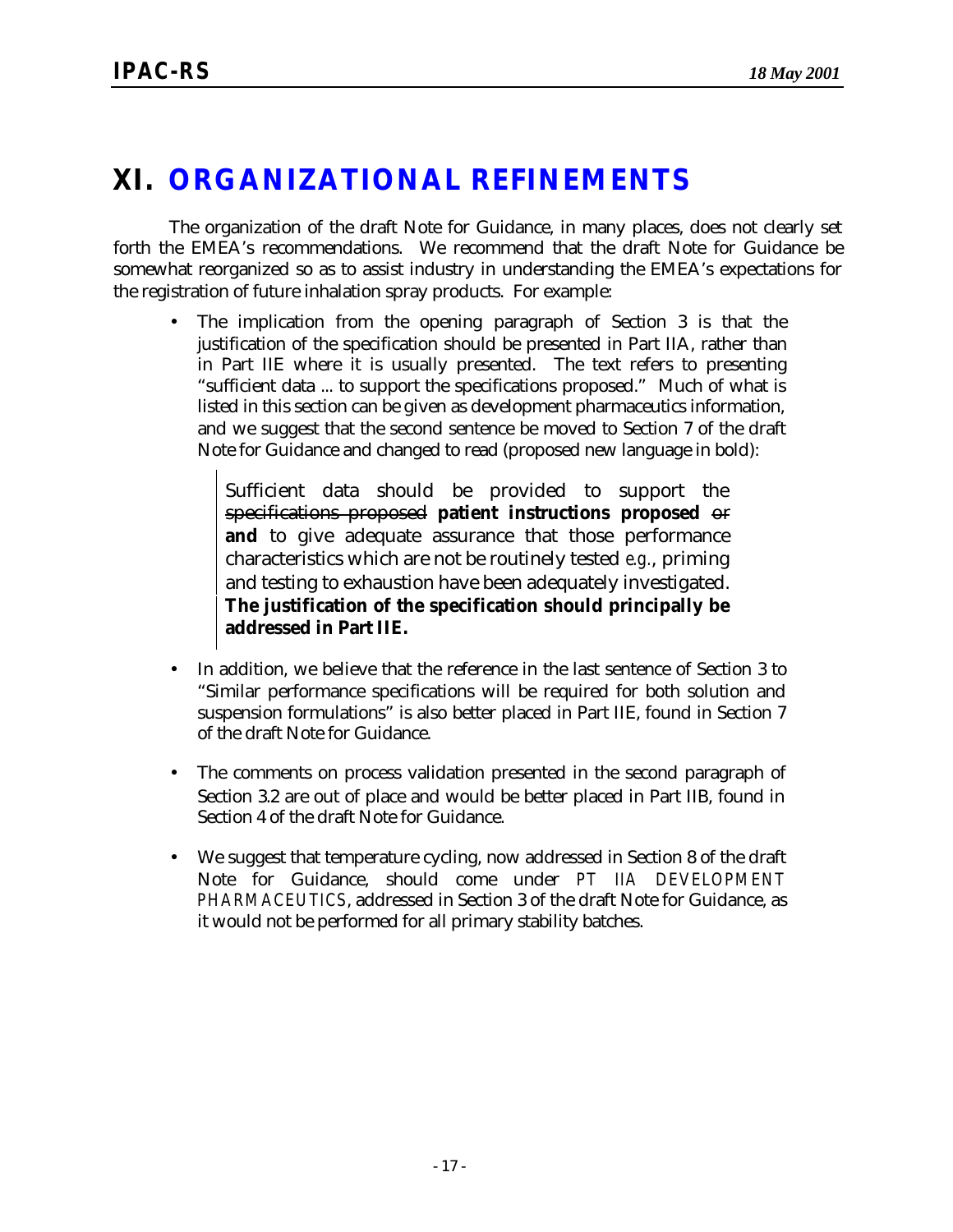### **XI. ORGANIZATIONAL REFINEMENTS**

The organization of the draft Note for Guidance, in many places, does not clearly set forth the EMEA's recommendations. We recommend that the draft Note for Guidance be somewhat reorganized so as to assist industry in understanding the EMEA's expectations for the registration of future inhalation spray products. For example:

• The implication from the opening paragraph of Section 3 is that the justification of the specification should be presented in Part IIA, rather than in Part IIE where it is usually presented. The text refers to presenting "sufficient data ... to support the specifications proposed." Much of what is listed in this section can be given as development pharmaceutics information, and we suggest that the second sentence be moved to Section 7 of the draft Note for Guidance and changed to read (proposed new language in bold):

Sufficient data should be provided to support the specifications proposed **patient instructions proposed** or and to give adequate assurance that those performance characteristics which are not be routinely tested *e.g.*, priming and testing to exhaustion have been adequately investigated. **The justification of the specification should principally be addressed in Part IIE.**

- In addition, we believe that the reference in the last sentence of Section 3 to "Similar performance specifications will be required for both solution and suspension formulations" is also better placed in Part IIE, found in Section 7 of the draft Note for Guidance.
- The comments on process validation presented in the second paragraph of Section 3.2 are out of place and would be better placed in Part IIB, found in Section 4 of the draft Note for Guidance.
- We suggest that temperature cycling, now addressed in Section 8 of the draft Note for Guidance, should come under *PT IIA DEVELOPMENT PHARMACEUTICS*, addressed in Section 3 of the draft Note for Guidance, as it would not be performed for all primary stability batches.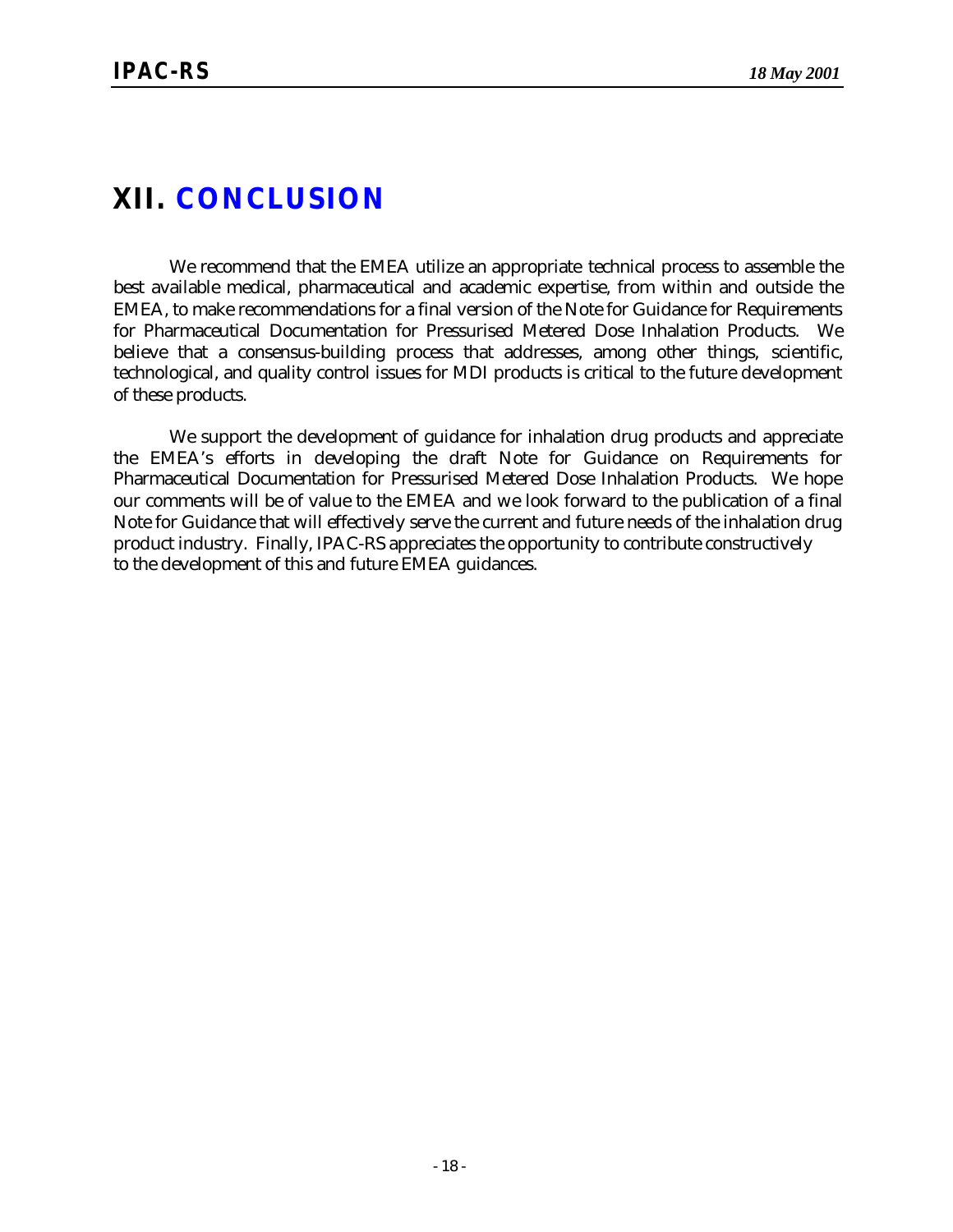### **XII. CONCLUSION**

We recommend that the EMEA utilize an appropriate technical process to assemble the best available medical, pharmaceutical and academic expertise, from within and outside the EMEA, to make recommendations for a final version of the Note for Guidance for Requirements for Pharmaceutical Documentation for Pressurised Metered Dose Inhalation Products. We believe that a consensus-building process that addresses, among other things, scientific, technological, and quality control issues for MDI products is critical to the future development of these products.

We support the development of guidance for inhalation drug products and appreciate the EMEA's efforts in developing the draft Note for Guidance on Requirements for Pharmaceutical Documentation for Pressurised Metered Dose Inhalation Products. We hope our comments will be of value to the EMEA and we look forward to the publication of a final Note for Guidance that will effectively serve the current and future needs of the inhalation drug product industry. Finally, IPAC-RS appreciates the opportunity to contribute constructively to the development of this and future EMEA guidances.